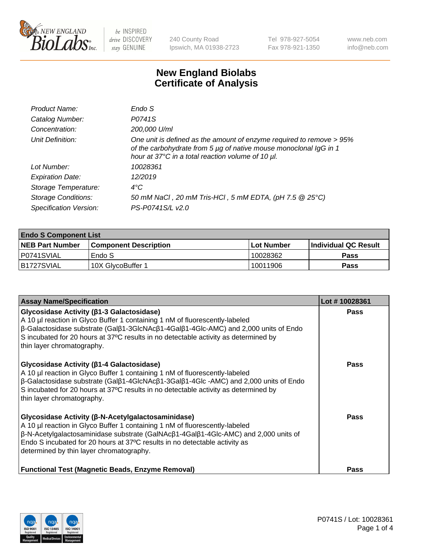

240 County Road Ipswich, MA 01938-2723 Tel 978-927-5054 Fax 978-921-1350 www.neb.com info@neb.com

## **New England Biolabs Certificate of Analysis**

| Endo S                                                                                                                                                                                         |
|------------------------------------------------------------------------------------------------------------------------------------------------------------------------------------------------|
| P0741S                                                                                                                                                                                         |
| 200,000 U/ml                                                                                                                                                                                   |
| One unit is defined as the amount of enzyme required to remove > 95%<br>of the carbohydrate from 5 µg of native mouse monoclonal IgG in 1<br>hour at 37°C in a total reaction volume of 10 µl. |
| 10028361                                                                                                                                                                                       |
| 12/2019                                                                                                                                                                                        |
| $4^{\circ}$ C                                                                                                                                                                                  |
| 50 mM NaCl, 20 mM Tris-HCl, 5 mM EDTA, (pH 7.5 @ 25°C)                                                                                                                                         |
| PS-P0741S/L v2.0                                                                                                                                                                               |
|                                                                                                                                                                                                |

| <b>Endo S Component List</b> |                         |              |                             |  |  |
|------------------------------|-------------------------|--------------|-----------------------------|--|--|
| <b>NEB Part Number</b>       | l Component Description | l Lot Number | <b>Individual QC Result</b> |  |  |
| P0741SVIAL                   | Endo S                  | 10028362     | <b>Pass</b>                 |  |  |
| IB1727SVIAL                  | 10X GlycoBuffer 1       | 10011906     | Pass                        |  |  |

| <b>Assay Name/Specification</b>                                                                                                                                                                                                                                                                                                                                           | Lot #10028361 |
|---------------------------------------------------------------------------------------------------------------------------------------------------------------------------------------------------------------------------------------------------------------------------------------------------------------------------------------------------------------------------|---------------|
| Glycosidase Activity (β1-3 Galactosidase)<br>A 10 µl reaction in Glyco Buffer 1 containing 1 nM of fluorescently-labeled<br>$\beta$ -Galactosidase substrate (Gal $\beta$ 1-3GlcNAc $\beta$ 1-4Gal $\beta$ 1-4Glc-AMC) and 2,000 units of Endo<br>S incubated for 20 hours at 37°C results in no detectable activity as determined by<br>thin layer chromatography.       | <b>Pass</b>   |
| Glycosidase Activity (β1-4 Galactosidase)<br>A 10 µl reaction in Glyco Buffer 1 containing 1 nM of fluorescently-labeled<br>$\beta$ -Galactosidase substrate (Gal $\beta$ 1-4GlcNAc $\beta$ 1-3Gal $\beta$ 1-4Glc -AMC) and 2,000 units of Endo<br>S incubated for 20 hours at 37°C results in no detectable activity as determined by<br>thin layer chromatography.      | <b>Pass</b>   |
| Glycosidase Activity (β-N-Acetylgalactosaminidase)<br>A 10 µl reaction in Glyco Buffer 1 containing 1 nM of fluorescently-labeled<br>$\beta$ -N-Acetylgalactosaminidase substrate (GalNAc $\beta$ 1-4Gal $\beta$ 1-4Glc-AMC) and 2,000 units of<br>Endo S incubated for 20 hours at 37°C results in no detectable activity as<br>determined by thin layer chromatography. | Pass          |
| <b>Functional Test (Magnetic Beads, Enzyme Removal)</b>                                                                                                                                                                                                                                                                                                                   | <b>Pass</b>   |

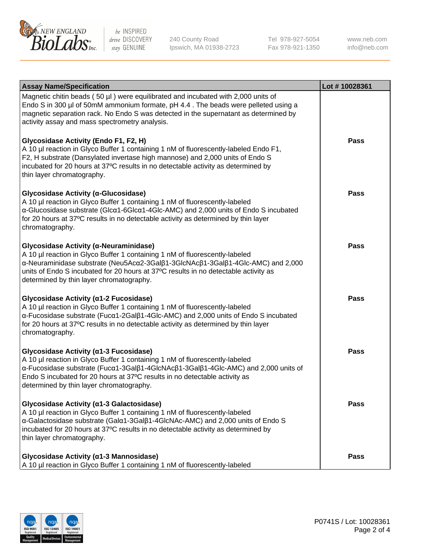

240 County Road Ipswich, MA 01938-2723 Tel 978-927-5054 Fax 978-921-1350 www.neb.com info@neb.com

| <b>Assay Name/Specification</b>                                                                                                                                                                                                                                                                                                             | Lot #10028361 |
|---------------------------------------------------------------------------------------------------------------------------------------------------------------------------------------------------------------------------------------------------------------------------------------------------------------------------------------------|---------------|
| Magnetic chitin beads (50 µl) were equilibrated and incubated with 2,000 units of<br>Endo S in 300 µl of 50mM ammonium formate, pH 4.4. The beads were pelleted using a<br>magnetic separation rack. No Endo S was detected in the supernatant as determined by<br>activity assay and mass spectrometry analysis.                           |               |
| Glycosidase Activity (Endo F1, F2, H)<br>A 10 µl reaction in Glyco Buffer 1 containing 1 nM of fluorescently-labeled Endo F1,<br>F2, H substrate (Dansylated invertase high mannose) and 2,000 units of Endo S<br>incubated for 20 hours at 37°C results in no detectable activity as determined by<br>thin layer chromatography.           | Pass          |
| Glycosidase Activity (α-Glucosidase)<br>A 10 µl reaction in Glyco Buffer 1 containing 1 nM of fluorescently-labeled<br>α-Glucosidase substrate (Glcα1-6Glcα1-4Glc-AMC) and 2,000 units of Endo S incubated<br>for 20 hours at 37°C results in no detectable activity as determined by thin layer<br>chromatography.                         | Pass          |
| Glycosidase Activity (α-Neuraminidase)<br>A 10 µl reaction in Glyco Buffer 1 containing 1 nM of fluorescently-labeled<br>α-Neuraminidase substrate (Neu5Acα2-3Galβ1-3GlcNAcβ1-3Galβ1-4Glc-AMC) and 2,000<br>units of Endo S incubated for 20 hours at 37°C results in no detectable activity as<br>determined by thin layer chromatography. | Pass          |
| Glycosidase Activity (α1-2 Fucosidase)<br>A 10 µl reaction in Glyco Buffer 1 containing 1 nM of fluorescently-labeled<br>α-Fucosidase substrate (Fucα1-2Galβ1-4Glc-AMC) and 2,000 units of Endo S incubated<br>for 20 hours at 37°C results in no detectable activity as determined by thin layer<br>chromatography.                        | <b>Pass</b>   |
| Glycosidase Activity (α1-3 Fucosidase)<br>A 10 µl reaction in Glyco Buffer 1 containing 1 nM of fluorescently-labeled<br>α-Fucosidase substrate (Fucα1-3Galβ1-4GlcNAcβ1-3Galβ1-4Glc-AMC) and 2,000 units of<br>Endo S incubated for 20 hours at 37°C results in no detectable activity as<br>determined by thin layer chromatography.       | Pass          |
| Glycosidase Activity (α1-3 Galactosidase)<br>A 10 µl reaction in Glyco Buffer 1 containing 1 nM of fluorescently-labeled<br>α-Galactosidase substrate (Galα1-3Galβ1-4GlcNAc-AMC) and 2,000 units of Endo S<br>incubated for 20 hours at 37°C results in no detectable activity as determined by<br>thin layer chromatography.               | <b>Pass</b>   |
| Glycosidase Activity (α1-3 Mannosidase)<br>A 10 µl reaction in Glyco Buffer 1 containing 1 nM of fluorescently-labeled                                                                                                                                                                                                                      | <b>Pass</b>   |

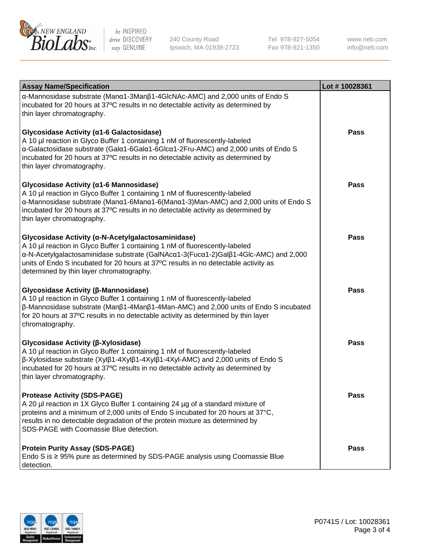

240 County Road Ipswich, MA 01938-2723 Tel 978-927-5054 Fax 978-921-1350

www.neb.com info@neb.com

| <b>Assay Name/Specification</b>                                                                                                                                                                                                                                                                                                                             | Lot #10028361 |
|-------------------------------------------------------------------------------------------------------------------------------------------------------------------------------------------------------------------------------------------------------------------------------------------------------------------------------------------------------------|---------------|
| α-Mannosidase substrate (Manα1-3Manβ1-4GlcNAc-AMC) and 2,000 units of Endo S<br>incubated for 20 hours at 37°C results in no detectable activity as determined by<br>thin layer chromatography.                                                                                                                                                             |               |
| Glycosidase Activity (α1-6 Galactosidase)<br>A 10 µl reaction in Glyco Buffer 1 containing 1 nM of fluorescently-labeled<br>α-Galactosidase substrate (Galα1-6Galα1-6Glcα1-2Fru-AMC) and 2,000 units of Endo S<br>incubated for 20 hours at 37°C results in no detectable activity as determined by<br>thin layer chromatography.                           | Pass          |
| Glycosidase Activity (α1-6 Mannosidase)<br>A 10 µl reaction in Glyco Buffer 1 containing 1 nM of fluorescently-labeled<br>α-Mannosidase substrate (Μanα1-6Μanα1-6(Μanα1-3)Man-AMC) and 2,000 units of Endo S<br>incubated for 20 hours at 37°C results in no detectable activity as determined by<br>thin layer chromatography.                             | <b>Pass</b>   |
| Glycosidase Activity (α-N-Acetylgalactosaminidase)<br>A 10 µl reaction in Glyco Buffer 1 containing 1 nM of fluorescently-labeled<br>α-N-Acetylgalactosaminidase substrate (GalNAcα1-3(Fucα1-2)Galβ1-4Glc-AMC) and 2,000<br>units of Endo S incubated for 20 hours at 37°C results in no detectable activity as<br>determined by thin layer chromatography. | Pass          |
| Glycosidase Activity (β-Mannosidase)<br>A 10 µl reaction in Glyco Buffer 1 containing 1 nM of fluorescently-labeled<br>β-Mannosidase substrate (Manβ1-4Manβ1-4Man-AMC) and 2,000 units of Endo S incubated<br>for 20 hours at 37°C results in no detectable activity as determined by thin layer<br>chromatography.                                         | Pass          |
| Glycosidase Activity (β-Xylosidase)<br>A 10 µl reaction in Glyco Buffer 1 containing 1 nM of fluorescently-labeled<br>$\beta$ -Xylosidase substrate (Xyl $\beta$ 1-4Xyl $\beta$ 1-4Xyl $\beta$ 1-4Xyl-AMC) and 2,000 units of Endo S<br>incubated for 20 hours at 37°C results in no detectable activity as determined by<br>thin layer chromatography.     | Pass          |
| <b>Protease Activity (SDS-PAGE)</b><br>A 20 µl reaction in 1X Glyco Buffer 1 containing 24 µg of a standard mixture of<br>proteins and a minimum of 2,000 units of Endo S incubated for 20 hours at 37°C,<br>results in no detectable degradation of the protein mixture as determined by<br>SDS-PAGE with Coomassie Blue detection.                        | Pass          |
| <b>Protein Purity Assay (SDS-PAGE)</b><br>Endo S is $\geq$ 95% pure as determined by SDS-PAGE analysis using Coomassie Blue<br>detection.                                                                                                                                                                                                                   | <b>Pass</b>   |